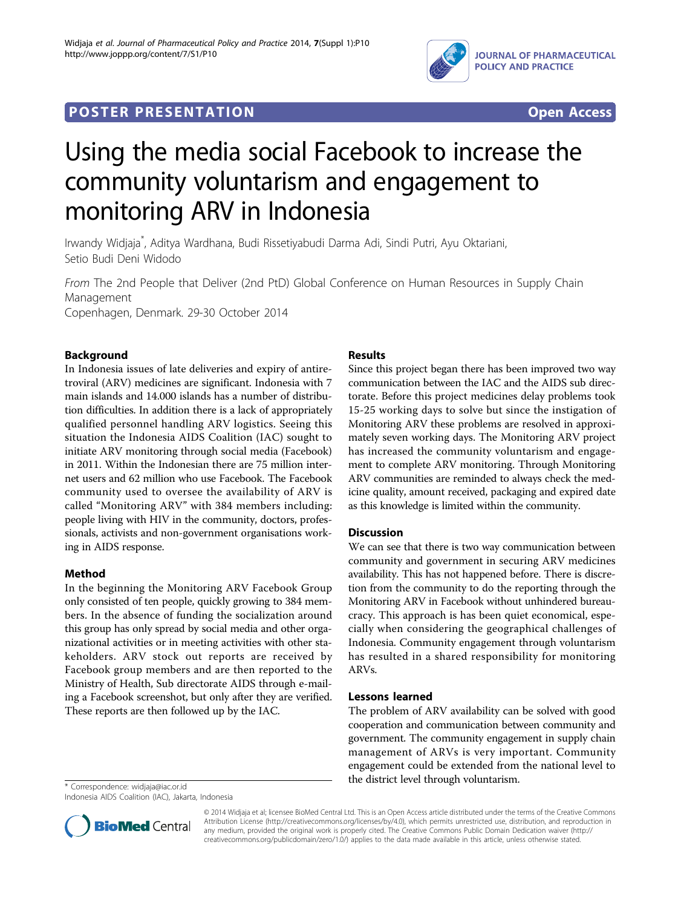

## **POSTER PRESENTATION CONSUMING ACCESS**



# Using the media social Facebook to increase the community voluntarism and engagement to monitoring ARV in Indonesia

Irwandy Widjaja<sup>\*</sup>, Aditya Wardhana, Budi Rissetiyabudi Darma Adi, Sindi Putri, Ayu Oktariani, Setio Budi Deni Widodo

From The 2nd People that Deliver (2nd PtD) Global Conference on Human Resources in Supply Chain Management Copenhagen, Denmark. 29-30 October 2014

### Background

In Indonesia issues of late deliveries and expiry of antiretroviral (ARV) medicines are significant. Indonesia with 7 main islands and 14.000 islands has a number of distribution difficulties. In addition there is a lack of appropriately qualified personnel handling ARV logistics. Seeing this situation the Indonesia AIDS Coalition (IAC) sought to initiate ARV monitoring through social media (Facebook) in 2011. Within the Indonesian there are 75 million internet users and 62 million who use Facebook. The Facebook community used to oversee the availability of ARV is called "Monitoring ARV" with 384 members including: people living with HIV in the community, doctors, professionals, activists and non-government organisations working in AIDS response.

### Method

In the beginning the Monitoring ARV Facebook Group only consisted of ten people, quickly growing to 384 members. In the absence of funding the socialization around this group has only spread by social media and other organizational activities or in meeting activities with other stakeholders. ARV stock out reports are received by Facebook group members and are then reported to the Ministry of Health, Sub directorate AIDS through e-mailing a Facebook screenshot, but only after they are verified. These reports are then followed up by the IAC.

Indonesia AIDS Coalition (IAC), Jakarta, Indonesia

### Results

Since this project began there has been improved two way communication between the IAC and the AIDS sub directorate. Before this project medicines delay problems took 15-25 working days to solve but since the instigation of Monitoring ARV these problems are resolved in approximately seven working days. The Monitoring ARV project has increased the community voluntarism and engagement to complete ARV monitoring. Through Monitoring ARV communities are reminded to always check the medicine quality, amount received, packaging and expired date as this knowledge is limited within the community.

### **Discussion**

We can see that there is two way communication between community and government in securing ARV medicines availability. This has not happened before. There is discretion from the community to do the reporting through the Monitoring ARV in Facebook without unhindered bureaucracy. This approach is has been quiet economical, especially when considering the geographical challenges of Indonesia. Community engagement through voluntarism has resulted in a shared responsibility for monitoring ARVs.

### Lessons learned

The problem of ARV availability can be solved with good cooperation and communication between community and government. The community engagement in supply chain management of ARVs is very important. Community engagement could be extended from the national level to the district level through voluntarism. \* Correspondence: [widjaja@iac.or.id](mailto:widjaja@iac.or.id)



© 2014 Widjaja et al; licensee BioMed Central Ltd. This is an Open Access article distributed under the terms of the Creative Commons Attribution License [\(http://creativecommons.org/licenses/by/4.0](http://creativecommons.org/licenses/by/4.0)), which permits unrestricted use, distribution, and reproduction in any medium, provided the original work is properly cited. The Creative Commons Public Domain Dedication waiver [\(http://](http://creativecommons.org/publicdomain/zero/1.0/) [creativecommons.org/publicdomain/zero/1.0/](http://creativecommons.org/publicdomain/zero/1.0/)) applies to the data made available in this article, unless otherwise stated.